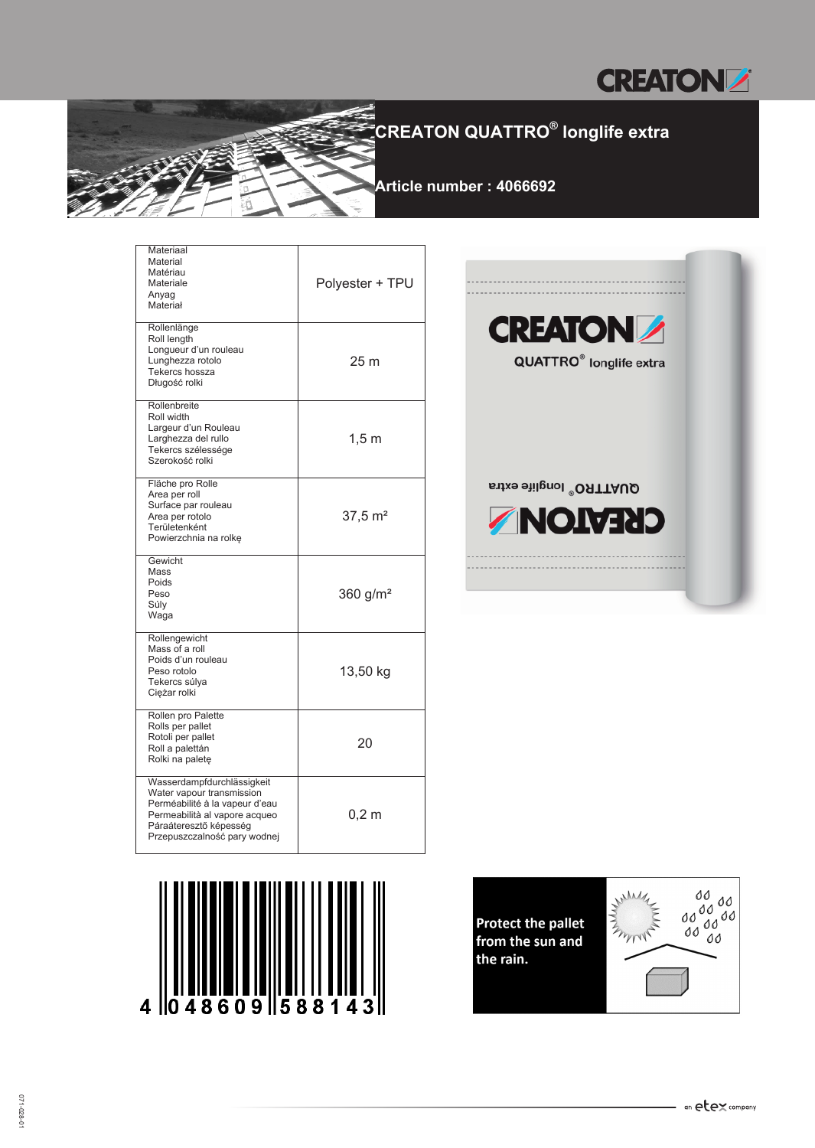

## **CREATON QUATTRO® longlife extra**

**Article number : 4066692**

| Materiaal<br>Material<br>Matériau<br>Materiale<br>Anyag<br>Materiał                                                                                                                  | Polyester + TPU      |
|--------------------------------------------------------------------------------------------------------------------------------------------------------------------------------------|----------------------|
| Rollenlänge<br>Roll length<br>Longueur d'un rouleau<br>Lunghezza rotolo<br>Tekercs hossza<br>Długość rolki                                                                           | 25 <sub>m</sub>      |
| Rollenbreite<br>Roll width<br>Largeur d'un Rouleau<br>Larghezza del rullo<br>Tekercs szélessége<br>Szerokość rolki                                                                   | $1,5$ m              |
| Fläche pro Rolle<br>Area per roll<br>Surface par rouleau<br>Area per rotolo<br>Területenként<br>Powierzchnia na rolkę                                                                | $37.5 \text{ m}^2$   |
| Gewicht<br>Mass<br>Poids<br>Peso<br>Súly<br>Waga                                                                                                                                     | 360 g/m <sup>2</sup> |
| Rollengewicht<br>Mass of a roll<br>Poids d'un rouleau<br>Peso rotolo<br>Tekercs súlya<br>Ciężar rolki                                                                                | 13,50 kg             |
| Rollen pro Palette<br>Rolls per pallet<br>Rotoli per pallet<br>Roll a palettán<br>Rolki na paletę                                                                                    | 20                   |
| Wasserdampfdurchlässigkeit<br>Water vapour transmission<br>Perméabilité à la vapeur d'eau<br>Permeabilità al vapore acqueo<br>Páraáteresztő képesség<br>Przepuszczalność pary wodnej | $0,2 \; \mathrm{m}$  |





MANY STATE **Protect the pallet** from the sun and the rain.